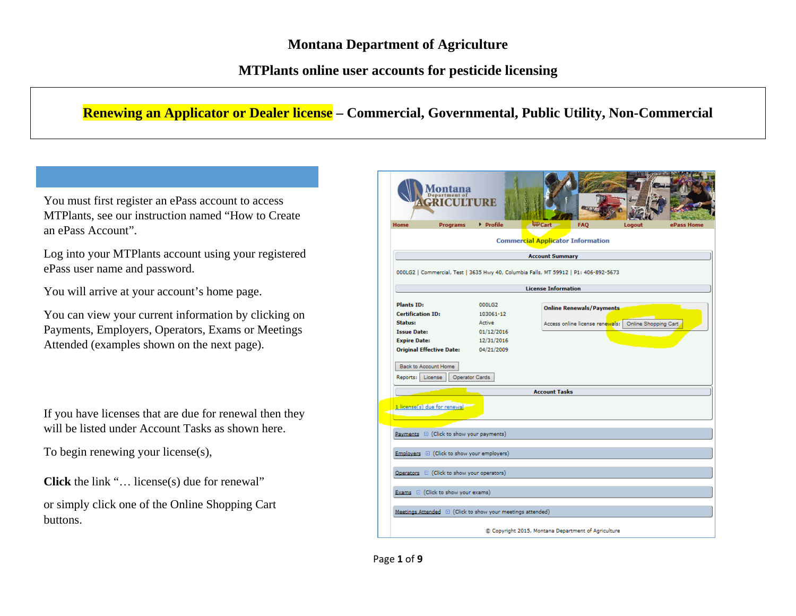## **MTPlants online user accounts for pesticide licensing**

## **Renewing an Applicator or Dealer license – Commercial, Governmental, Public Utility, Non-Commercial**

You must first register an ePass account to access MTPlants, see our instruction named "How to Create an ePass Account".

Log into your MTPlants account using your registered ePass user name and password.

You will arrive at your account's home page.

You can view your current information by clicking on Payments, Employers, Operators, Exams or Meetings Attended (examples shown on the next page).

If you have licenses that are due for renewal then they will be listed under Account Tasks as shown here.

To begin renewing your license(s),

**Click** the link "… license(s) due for renewal"

or simply click one of the Online Shopping Cart buttons.

|                                               | partment of<br><b>ICHIT</b>                                | TIRE                     |                            |                                                                                      |                                                        |            |
|-----------------------------------------------|------------------------------------------------------------|--------------------------|----------------------------|--------------------------------------------------------------------------------------|--------------------------------------------------------|------------|
| <b>Home</b>                                   | <b>Programs</b>                                            | Profile                  | <b>LEP</b> Cart            | <b>FAO</b>                                                                           | Logout                                                 | ePass Home |
|                                               |                                                            |                          |                            | <b>Commercial Applicator Information</b>                                             |                                                        |            |
|                                               |                                                            |                          | <b>Account Summary</b>     |                                                                                      |                                                        |            |
|                                               |                                                            |                          |                            | 000LG2   Commercial, Test   3635 Hwy 40, Columbia Falls, MT 59912   P1: 406-892-5673 |                                                        |            |
|                                               |                                                            |                          | <b>License Information</b> |                                                                                      |                                                        |            |
| <b>Plants ID:</b><br><b>Certification ID:</b> |                                                            | 000LG2<br>103061-12      |                            | <b>Online Renewals/Payments</b>                                                      |                                                        |            |
| <b>Status:</b>                                |                                                            | Active                   |                            |                                                                                      | Access online license renewals:   Online Shopping Cart |            |
| <b>Issue Date:</b>                            |                                                            | 01/12/2016               |                            |                                                                                      |                                                        |            |
| <b>Expire Date:</b>                           | <b>Original Effective Date:</b>                            | 12/31/2016<br>04/21/2009 |                            |                                                                                      |                                                        |            |
| Reports: License                              |                                                            | Operator Cards           | <b>Account Tasks</b>       |                                                                                      |                                                        |            |
|                                               | 1 license(s) due for renewal.                              |                          |                            |                                                                                      |                                                        |            |
|                                               | Payments E (Click to show your payments)                   |                          |                            |                                                                                      |                                                        |            |
|                                               | Employers E (Click to show your employers)                 |                          |                            |                                                                                      |                                                        |            |
|                                               | Operators E (Click to show your operators)                 |                          |                            |                                                                                      |                                                        |            |
|                                               | Exams E (Click to show your exams)                         |                          |                            |                                                                                      |                                                        |            |
|                                               | Meetings Attended E (Click to show your meetings attended) |                          |                            |                                                                                      |                                                        |            |
|                                               |                                                            |                          |                            | C Copyright 2015, Montana Department of Agriculture                                  |                                                        |            |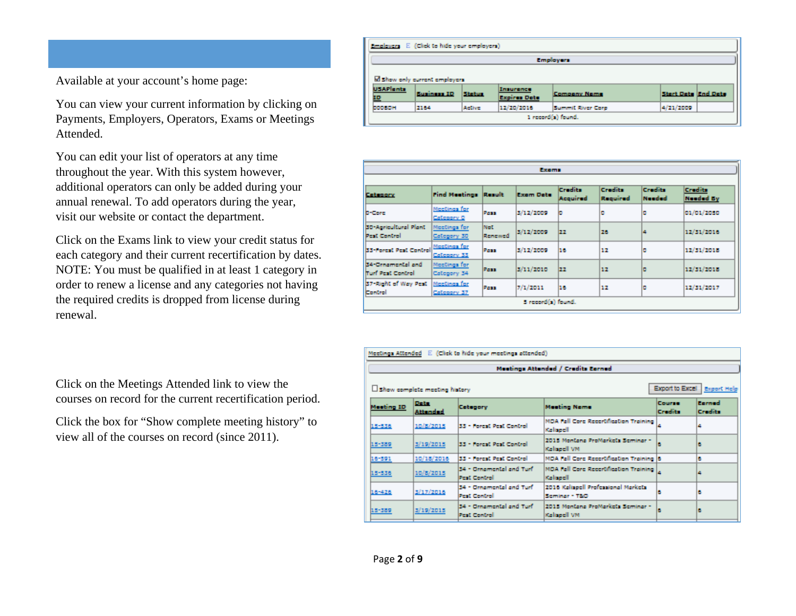Available at your account's home page:

You can view your current information by clicking on Payments, Employers, Operators, Exams or Meetings Attended.

You can edit your list of operators at any time throughout the year. With this system however, additional operators can only be added during your annual renewal. To add operators during the year, visit our website or contact the department.

Click on the Exams link to view your credit status for each category and their current recertification by dates. NOTE: You must be qualified in at least 1 category in order to renew a license and any categories not having the required credits is dropped from license during renewal.

Click on the Meetings Attended link to view the courses on record for the current recertification period.

Click the box for "Show complete meeting history" to view all of the courses on record (since 2011).

|                       | Employers E. (Click to hide your employers) |        |                                  |                     |                            |  |
|-----------------------|---------------------------------------------|--------|----------------------------------|---------------------|----------------------------|--|
|                       |                                             |        |                                  | Employers           |                            |  |
|                       | M show only current employers               |        |                                  |                     |                            |  |
| <b>USAPIents</b><br>ᄪ | <b>Business ID</b>                          | Status | Insurance<br><b>Expires Date</b> | <b>Company Name</b> | <b>Start Date End Date</b> |  |
| <b>DODGON</b>         | 2164                                        | Active | 12/20/2016                       | Summit River Corp.  | 4/21/2009                  |  |
|                       |                                             |        |                                  | 1 record(s) found.  |                            |  |

| Exama                                               |                              |                |                    |                     |                     |                          |                             |
|-----------------------------------------------------|------------------------------|----------------|--------------------|---------------------|---------------------|--------------------------|-----------------------------|
| <b>Catagory</b>                                     | Find Meetings Result         |                | Exam Data          | Cradita<br>Acquired | Cradita<br>Required | <b>Credits</b><br>Needed | Credita<br><b>Needed By</b> |
| <b>D-Core</b>                                       | Moctings for<br>Category 0   | Post           | 3/12/2009          | ь                   | o                   | ٥                        | 01/01/2050                  |
| <b>30 Apricultural Plant</b><br><b>Pest Control</b> | Mootings for<br>Collegery 30 | Mot<br>Renewed | 3/12/2009          | 22                  | 26                  | ۵                        | 12/31/2016                  |
| 33-Forcat Peat Control                              | MccCings for<br>Coloppry 33  | Poss           | 3/12/2009          | 16                  | 12                  | ٥                        | 12/31/2018                  |
| 34 Grnamental and<br><b>Trust Pest Control</b>      | Mootings for<br>Category 34  | Poss           | 3/11/2010          | 22                  | 12                  | ۰                        | 12/31/2018                  |
| S7-Right of Way Peat<br>Control                     | MocCings for<br>Coloppry 37  | Post           | 7/1/2011           | 16                  | 12                  | ٥                        | 12/31/2017                  |
|                                                     |                              |                | Sirecord(s) found. |                     |                     |                          |                             |

|            |                                | Meetings Attended E. (Click to hide your meetings attended) |                                                                           |                               |                   |
|------------|--------------------------------|-------------------------------------------------------------|---------------------------------------------------------------------------|-------------------------------|-------------------|
|            |                                |                                                             | Meetings Attended / Credits Earned                                        |                               |                   |
|            | Show complete meeting history  |                                                             |                                                                           | Export to Excel   Export Help |                   |
| Monting ID | <b>Deta</b><br><b>Attended</b> | Catagory                                                    | <b>Meeting Name</b>                                                       | Course<br>Credito             | Earned<br>Credita |
| 15-558     | 10/3/2015                      | 33 - Forest Pest Control                                    | MDA Fall Core Recentification Training<br>Kalisaell                       |                               | Δ                 |
| 15-389     | 3/19/2015                      | 33 - Forest Pest Control                                    | 2015 Montana ProMarkets Seminar -<br>Kaliseell VM                         | ıв                            | а                 |
| 16-591     | 10/18/2016                     | 33 - Forest Pest Control                                    | MDA Fall Core Reportmeation Training B                                    |                               | ь                 |
| 15-536     | 10/8/2015                      | 34 - Omamental and Turl<br><b>Pest Control</b>              | MDA Fall Core Recertification Training $\vert_{\mathcal{L}}$<br>Kalisaell |                               | ۵                 |
| 16-428     | 3/17/2016                      | 34 - Omamental and Turf<br><b>Pest Control</b>              | 2016 Keltenell Professional Markets<br>Seminar - T&O                      | B                             | ۵                 |
| 15-389     | 3/19/2015                      | 34 - Omamental and Turf<br>Pest Control                     | 2015 Montana ProMarketa Seminar -<br>Kalisaell VM                         | B                             | ۵                 |
|            |                                |                                                             |                                                                           |                               |                   |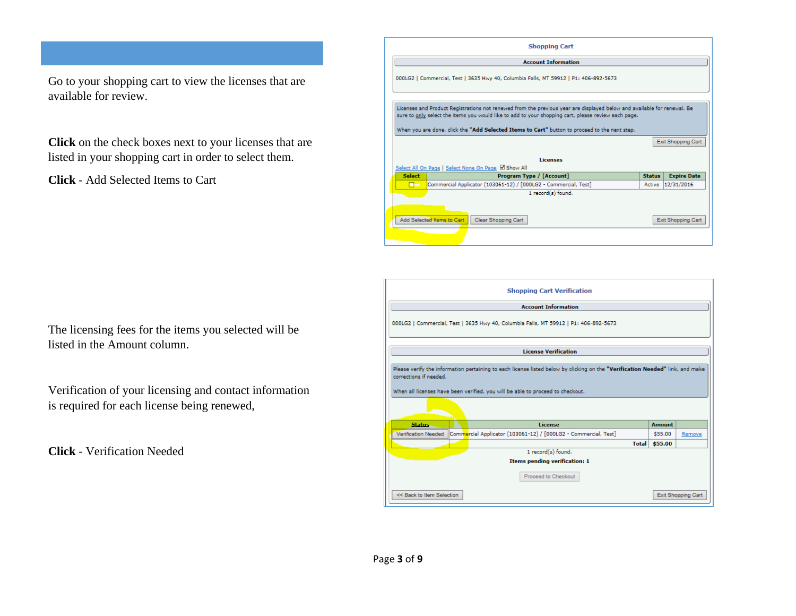Go to your shopping cart to view the licenses that are available for review.

**Click** on the check boxes next to your licenses that are listed in your shopping cart in order to select them.

**Click** - Add Selected Items to Cart

| The licensing fees for the items you selected will be |  |
|-------------------------------------------------------|--|
| listed in the Amount column.                          |  |

Verification of your licensing and contact information is required for each license being renewed,

**Click** - Verification Needed

|               | <b>Account Information</b>                                                                                                                                                                                                     |               |                                                               |
|---------------|--------------------------------------------------------------------------------------------------------------------------------------------------------------------------------------------------------------------------------|---------------|---------------------------------------------------------------|
|               | 000LG2   Commercial, Test   3635 Hwy 40, Columbia Falls, MT 59912   P1: 406-892-5673                                                                                                                                           |               |                                                               |
|               | Licenses and Product Registrations not renewed from the previous year are displayed below and available for renewal. Be<br>sure to only select the items you would like to add to your shopping cart, please review each page. |               |                                                               |
|               | When you are done, click the "Add Selected Items to Cart" button to proceed to the next step.                                                                                                                                  |               |                                                               |
|               |                                                                                                                                                                                                                                |               | Exit Shopping Cart                                            |
|               | Licenses                                                                                                                                                                                                                       |               |                                                               |
|               |                                                                                                                                                                                                                                |               |                                                               |
| <b>Select</b> | Select All On Page   Select None On Page Ø Show All<br>Program Type / [Account]                                                                                                                                                | <b>Status</b> |                                                               |
| a a           | Commercial Applicator (103061-12) / [000LG2 - Commercial, Test]                                                                                                                                                                |               |                                                               |
|               | 1 record(s) found.                                                                                                                                                                                                             |               |                                                               |
|               |                                                                                                                                                                                                                                |               |                                                               |
|               | Add Selected Items to Cart<br>Clear Shopping Cart                                                                                                                                                                              |               | <b>Expire Date</b><br>Active 12/31/2016<br>Exit Shopping Cart |

|                            | <b>Shopping Cart Verification</b>                                                                                                                                                                               |               |                    |
|----------------------------|-----------------------------------------------------------------------------------------------------------------------------------------------------------------------------------------------------------------|---------------|--------------------|
|                            | <b>Account Information</b>                                                                                                                                                                                      |               |                    |
|                            | 000LG2   Commercial, Test   3635 Hwy 40, Columbia Falls, MT 59912   P1: 406-892-5673                                                                                                                            |               |                    |
|                            | <b>License Verification</b>                                                                                                                                                                                     |               |                    |
| corrections if needed.     | Please verify the information pertaining to each license listed below by clicking on the "Verification Needed" link, and make<br>When all licenses have been verified, you will be able to proceed to checkout. |               |                    |
| <b>Status</b>              | <b>License</b>                                                                                                                                                                                                  | <b>Amount</b> |                    |
| <b>Verification Needed</b> | Commercial Applicator (103061-12) / [000LG2 - Commercial, Test]                                                                                                                                                 | \$55.00       | Remove             |
|                            |                                                                                                                                                                                                                 | Total \$55.00 |                    |
|                            | 1 record(s) found.                                                                                                                                                                                              |               |                    |
|                            | <b>Items pending verification: 1</b><br>Proceed to Checkout                                                                                                                                                     |               |                    |
| << Back to Item Selection  |                                                                                                                                                                                                                 |               | Exit Shopping Cart |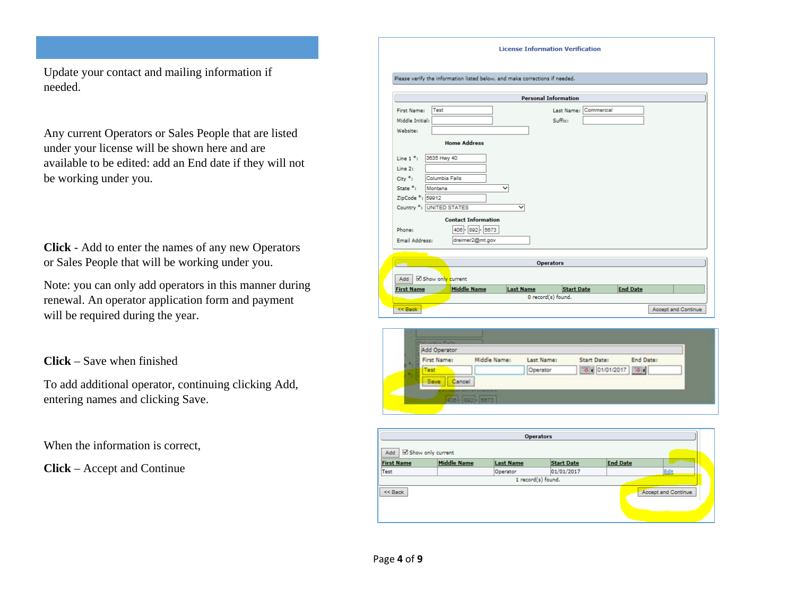Update your contact and mailing information if needed.

Any current Operators or Sales People that are listed under your license will be shown here and are available to be edited: add an End date if they will not be working under you.

**Click** - Add to enter the names of any new Operators or Sales People that will be working under you.

Note: you can only add operators in this manner during renewal. An operator application form and payment will be required during the year.

**Click** – Save when finished

To add additional operator, continuing clicking Add, entering names and clicking Save.

When the information is correct,

**Click** – Accept and Continue

| Middle Initial:                          |                  |         |  |
|------------------------------------------|------------------|---------|--|
|                                          |                  | Suffix: |  |
| Website:                                 |                  |         |  |
| <b>Home Address</b>                      |                  |         |  |
| 3635 Hwy 40<br>Line $1*$ :               |                  |         |  |
| Line 2:                                  |                  |         |  |
| $City *_{t}$<br>Columbia Falls           |                  |         |  |
| State <sup>*</sup> :<br>Montana          | v                |         |  |
| ZipCode *: 59912                         |                  |         |  |
| Country *: UNITED STATES                 | ◡                |         |  |
| <b>Contact Information</b>               |                  |         |  |
| 406 - 892 - 5673<br>Phone:               |                  |         |  |
| dreimer2@mt.gov<br><b>Email Address:</b> |                  |         |  |
|                                          |                  |         |  |
|                                          |                  |         |  |
|                                          | <b>Operators</b> |         |  |



| Show only current<br>Add |                    |                  | <b>Operators</b>   |                     |  |
|--------------------------|--------------------|------------------|--------------------|---------------------|--|
| <b>First Name</b>        | <b>Middle Name</b> | <b>Last Name</b> | <b>Start Date</b>  | <b>End Date</b>     |  |
| Test                     |                    | Operator         | 01/01/2017         | Edit                |  |
|                          |                    |                  | 1 record(s) found. |                     |  |
| $<<$ Back                |                    |                  |                    | Accept and Continue |  |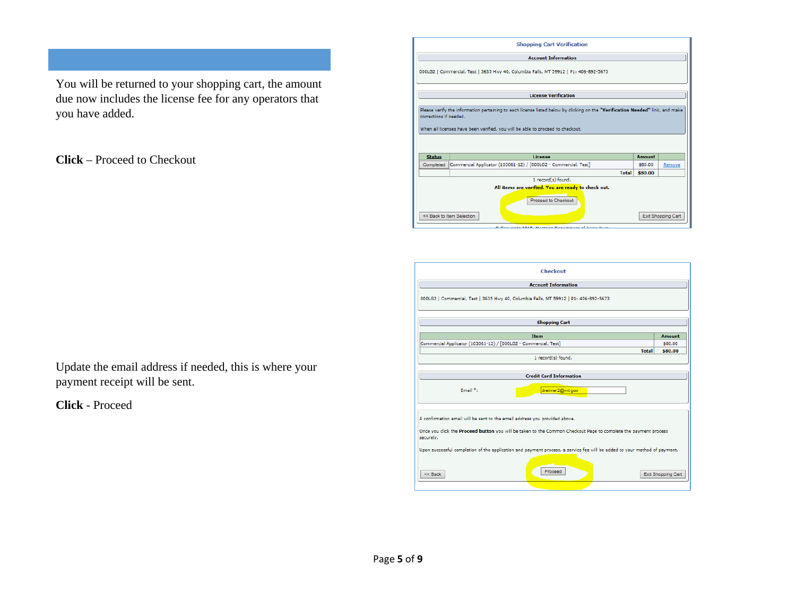You will be returned to your shopping cart, the amount due now includes the license fee for any operators that you have added.

**Click** – Proceed to Checkout

|                        | <b>Shopping Cart Verification</b>                                                                                                                                                                               |         |                    |
|------------------------|-----------------------------------------------------------------------------------------------------------------------------------------------------------------------------------------------------------------|---------|--------------------|
|                        | <b>Account Information</b>                                                                                                                                                                                      |         |                    |
|                        | 000LG2   Commercial, Test   3635 Hwy 40, Columbia Falls, MT 59912   P1: 406-892-5673                                                                                                                            |         |                    |
|                        | <b>License Verification</b>                                                                                                                                                                                     |         |                    |
| corrections if needed. | Please verify the information pertaining to each license listed below by clicking on the "Verification Needed" link, and make<br>When all licenses have been verified, you will be able to proceed to checkout. |         |                    |
| <b>Status</b>          | License                                                                                                                                                                                                         | Amount  |                    |
| Completed              | Commercial Applicator (103061-12) / [000LG2 - Commercial, Test]                                                                                                                                                 | \$80.00 | Remove             |
|                        | <b>Total</b>                                                                                                                                                                                                    | \$80.00 |                    |
|                        | 1 record(s) found.                                                                                                                                                                                              |         |                    |
|                        | All items are verified. You are ready to check out.                                                                                                                                                             |         |                    |
|                        | Proceed to Checkout<br><< Back to Item Selection<br>@ Consider 2015 Montana Department of Antonious                                                                                                             |         | Exit Shopping Cart |

| Checkout                                                                                                                     |                    |
|------------------------------------------------------------------------------------------------------------------------------|--------------------|
| <b>Account Information</b>                                                                                                   |                    |
| 000LG2   Commercial, Test   3635 Hwy 40, Columbia Falls, MT 59912   P1: 406-892-5673                                         |                    |
| <b>Shopping Cart</b>                                                                                                         |                    |
| <b>Item</b>                                                                                                                  | Amount             |
| Commercial Applicator (103061-12) / [000LG2 - Commercial, Test]                                                              | \$80.00            |
| <b>Total</b>                                                                                                                 | \$80.00            |
| 1 record(s) found.                                                                                                           |                    |
|                                                                                                                              |                    |
| <b>Credit Card Information</b>                                                                                               |                    |
| Email $*$ :<br>dreimer2@mt.gov                                                                                               |                    |
| A confirmation email will be sent to the email address you provided above.                                                   |                    |
| Once you click the Proceed button you will be taken to the Common Checkout Page to complete the payment process<br>securely. |                    |
| Upon successful completion of the application and payment process, a service fee will be added to your method of payment.    |                    |
| Proceed<br>$<<$ Back                                                                                                         | Exit Shopping Cart |

Update the email address if needed, this is where your payment receipt will be sent.

**Click** - Proceed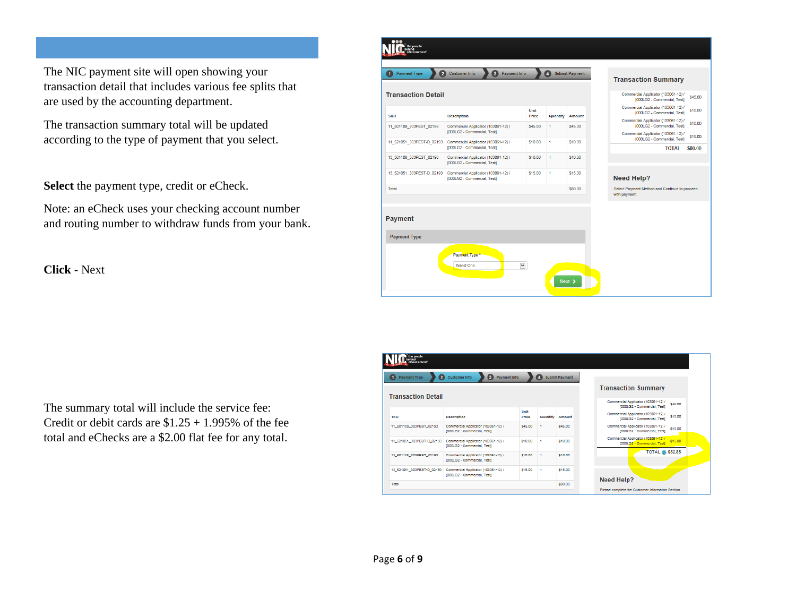The NIC payment site will open showing your transaction detail that includes various fee splits that are used by the accounting department.

The transaction summary total will be updated according to the type of payment that you select.

**Select** the payment type, credit or eCheck.

Note: an eCheck uses your checking account number and routing number to withdraw funds from your bank.

**Click** - Next

| the people<br>O<br>2<br><b>Payment Type</b> | 3<br><b>Customer Info</b><br>Payment Info                          |               | $\blacksquare$ | <b>Submit Payment</b> |                                                                                                  |         |
|---------------------------------------------|--------------------------------------------------------------------|---------------|----------------|-----------------------|--------------------------------------------------------------------------------------------------|---------|
| <b>Transaction Detail</b>                   |                                                                    |               |                |                       | <b>Transaction Summary</b><br>Commercial Applicator (103061-12) /<br>[000LG2 - Commercial, Test] | \$45.00 |
| <b>SKU</b>                                  | <b>Description</b>                                                 | Unit<br>Price | Quantity       | <b>Amount</b>         | Commercial Applicator (103061-12) /<br>[000LG2 - Commercial, Test]                               | \$10.00 |
| 11_501109_303PEST_02193                     | Commercial Applicator (103061-12) /                                | \$45.00       | 1              | \$45.00               | Commercial Applicator (103061-12) /<br>[000LG2 - Commercial, Test]                               | \$10.00 |
|                                             | [000LG2 - Commercial, Test]                                        |               |                |                       | Commercial Applicator (103061-12) /<br>[000LG2 - Commercial, Test]                               | \$15.00 |
| 11 521051 303PEST-D 02193                   | Commercial Applicator (103061-12) /<br>[000LG2 - Commercial, Test] | \$10.00       | 1              | \$10.00               | <b>TOTAL</b>                                                                                     | \$80.00 |
| 13_501108_303PEST_02193                     | Commercial Applicator (103061-12) /<br>[000LG2 - Commercial, Test] | \$10.00       | 1              | \$10.00               |                                                                                                  |         |
| 13_521051_303PEST-D_02193                   | Commercial Applicator (103061-12) /<br>[000LG2 - Commercial, Test] | \$15.00       | 1.             | \$15.00               | <b>Need Help?</b>                                                                                |         |
| Total                                       |                                                                    |               |                | \$80.00               | Select Payment Method and Continue to proceed<br>with payment.                                   |         |
| <b>Payment</b><br><b>Payment Type</b>       |                                                                    |               |                |                       |                                                                                                  |         |
|                                             | Payment Type *<br>Select One                                       | $\checkmark$  |                | Next >                |                                                                                                  |         |



| Payment Type<br>$\blacksquare$ | 2 Customer Info<br>Payment Info<br>$\vert 3 \vert$                 |               | o        | <b>Submit Payment</b> |                                                                               |
|--------------------------------|--------------------------------------------------------------------|---------------|----------|-----------------------|-------------------------------------------------------------------------------|
| <b>Transaction Detail</b>      |                                                                    |               |          |                       | <b>Transaction Summary</b>                                                    |
|                                |                                                                    |               |          |                       | Commercial Applicator (103061-12) /<br>\$45.00<br>(000LG2 - Commercial, Test) |
| <b>3KU</b>                     | Decoription                                                        | Unit<br>Price | Quantity | Amount                | Commercial Applicator (103061-12) /<br>\$10.00<br>rooouG2 - Commercial, Testi |
| 11 501109 303PE8T 02193        | Commercial Applicator (103061-12) /<br>(ODDLG2 - Commercial, Test) | \$45.00       |          | \$45,00               | Commercial Applicator (103061-12) /<br>\$10.00<br>[000LG2 - Commercial, Test] |
| 11 521051 303PE8T-D 02193      | Commercial Applicator (103061-12) /<br>(000LG2 - Commercial, Test) | \$10.00       |          | \$10.00               | Commercial Applicator (103061-12) /<br>\$15.00<br>[000LG2 - Commercial, Test] |
| 13 501108 303PE8T 02193        | Commercial Applicator (103061-12) /<br>IODOLG2 - Commercial, Testi | \$10.00       |          | \$10.00               | <b>TOTAL @ \$82.85</b>                                                        |
| 13 521051 303PE8T-D 02193      | Commercial Applicator (103061-12) /<br>(000LG2 - Commercial, Test) | \$15.00       | ٠        | \$15.00               |                                                                               |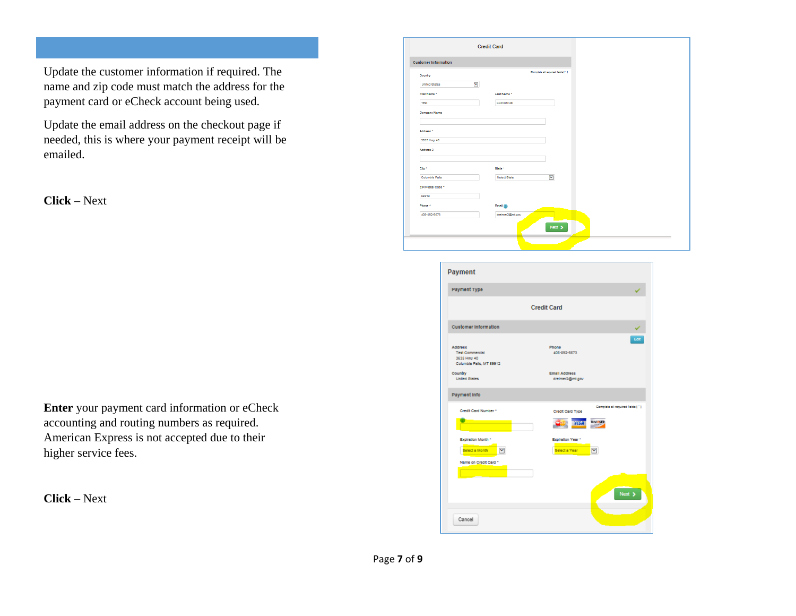Update the customer information if required. The name and zip code must match the address for the payment card or eCheck account being used.

Update the email address on the checkout page if needed, this is where your payment receipt will be emailed.

**Click** – Next

**Enter** your payment card information or eCheck accounting and routing numbers as required. American Express is not accepted due to their higher service fees.

**Click** – Next

| <b>Customer Information</b> |                     |                                   |  |
|-----------------------------|---------------------|-----------------------------------|--|
| Country                     |                     | Complete all required fields [11] |  |
| <b>United States</b>        | ⊻                   |                                   |  |
| First Name *                | Last Name *         |                                   |  |
| Test                        | Commercial          |                                   |  |
| Company Name                |                     |                                   |  |
|                             |                     |                                   |  |
| Address *                   |                     |                                   |  |
| 3635 Hwy 40                 |                     |                                   |  |
| Address 2                   |                     |                                   |  |
| City +                      | State *             |                                   |  |
| Columbia Falls              | <b>Belect State</b> | $\breve{}\,$                      |  |
| ZIP/Postal Code *           |                     |                                   |  |
| 59912                       |                     |                                   |  |
| Phone <sup>+</sup>          | Email $(2)$         |                                   |  |
| 406-892-5673                | dreimer2@mt.gov     |                                   |  |

| Payment Type                          |                      |                                   |
|---------------------------------------|----------------------|-----------------------------------|
|                                       |                      |                                   |
|                                       | <b>Credit Card</b>   |                                   |
| <b>Customer Information</b>           |                      |                                   |
|                                       |                      | Edit                              |
| <b>Address</b>                        | Phone                |                                   |
| <b>Test Commercial</b><br>3635 Hwy 40 | 406-892-5673         |                                   |
| Columbia Falls, MT 59912              |                      |                                   |
| Country                               | <b>Email Address</b> |                                   |
| <b>United States</b>                  | dreimer2@mt.gov      |                                   |
| <b>Payment Info</b>                   |                      |                                   |
| Credit Card Number *                  | Credit Card Type     | Complete all required fields [11] |
|                                       | <b>DYSA</b>          | <b>DISCOVER</b>                   |
|                                       |                      |                                   |
| Expiration Month *                    | Expiration Year *    |                                   |
| v<br><b>Belect a Month</b>            | Select a Year        | M                                 |
| Name on Credit Card *                 |                      |                                   |
|                                       |                      |                                   |
|                                       |                      |                                   |
|                                       |                      |                                   |
|                                       |                      | Next >                            |
|                                       |                      |                                   |
|                                       |                      |                                   |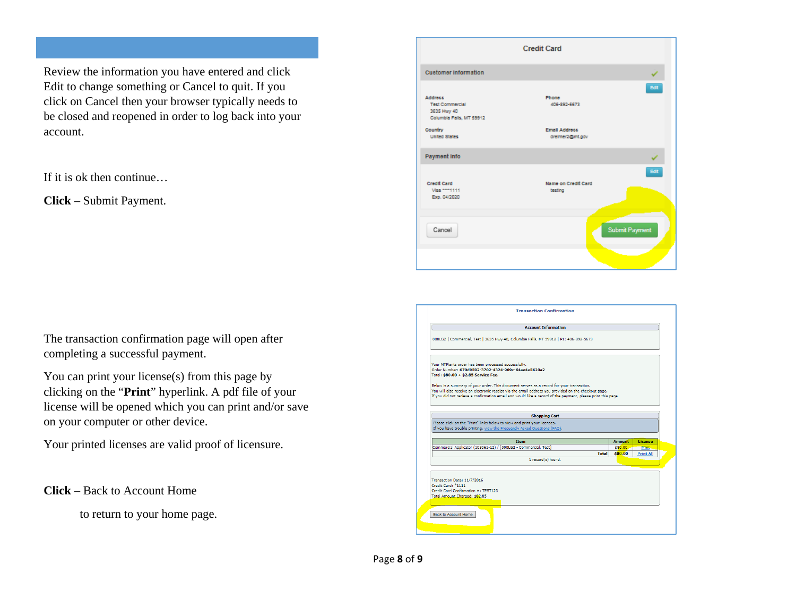Review the information you have entered and click Edit to change something or Cancel to quit. If you click on Cancel then your browser typically needs to be closed and reopened in order to log back into your account.

If it is ok then continue…

**Click** – Submit Payment.

The transaction confirmation page will open after completing a successful payment.

You can print your license(s) from this page by clicking on the "**Print**" hyperlink. A pdf file of your license will be opened which you can print and/or save on your computer or other device.

Your printed licenses are valid proof of licensure.

**Click** – Back to Account Home

to return to your home page.

|                                                                                     | <b>Credit Card</b>                      |                       |
|-------------------------------------------------------------------------------------|-----------------------------------------|-----------------------|
| <b>Customer Information</b>                                                         |                                         |                       |
| <b>Address</b><br><b>Test Commercial</b><br>3635 Hwy 40<br>Columbia Falls, MT 59912 | Phone<br>406-892-5673                   | Edit                  |
| Country<br><b>United States</b>                                                     | <b>Email Address</b><br>dreimer2@mt.gov |                       |
| Payment Info                                                                        |                                         |                       |
| Credit Card<br>Visa ***** 1111<br>Exp. 04/2020                                      | Name on Credit Card<br>testing          | Edit                  |
| Cancel                                                                              |                                         | <b>Submit Payment</b> |

| <b>Account Information</b>                                                                                                                                                                                                                                                                                      |       |         |                  |
|-----------------------------------------------------------------------------------------------------------------------------------------------------------------------------------------------------------------------------------------------------------------------------------------------------------------|-------|---------|------------------|
| 000LG2   Commercial, Test   3635 Hwy 40, Columbia Falls, MT 59912   P1: 406-892-5673                                                                                                                                                                                                                            |       |         |                  |
| Your MTPlants order has been processed successfully.<br>Order Number: 670d9592-3702-4324-909c-64ae4e5620a2<br>Total: \$80.00 + \$2.85 Service Fee.                                                                                                                                                              |       |         |                  |
| Below is a summary of your order. This document serves as a record for your transaction.<br>You will also receive an electronic receipt via the email address you provided on the checkout page.<br>If you did not recieve a confirmation email and would like a record of the payment, please print this page. |       |         |                  |
|                                                                                                                                                                                                                                                                                                                 |       |         |                  |
| <b>Shopping Cart</b>                                                                                                                                                                                                                                                                                            |       |         |                  |
|                                                                                                                                                                                                                                                                                                                 |       |         |                  |
| <b>Item</b>                                                                                                                                                                                                                                                                                                     |       | Amount  | License          |
|                                                                                                                                                                                                                                                                                                                 |       | \$80.00 | Print.           |
| Please click on the "Print" links below to view and print your licenses.<br>If you have trouble printing, view the Frequently Asked Questions (FAQ).<br>Commercial Applicator (103061-12) / [000LG2 - Commercial, Test]                                                                                         | Total | \$80.00 | <b>Print All</b> |
| 1 record(s) found.                                                                                                                                                                                                                                                                                              |       |         |                  |
| Transaction Date: 11/7/2016<br>Credit Card: *1111<br>Credit Card Confirmation #: TEST123<br>Total Amount Charged: \$82.85                                                                                                                                                                                       |       |         |                  |